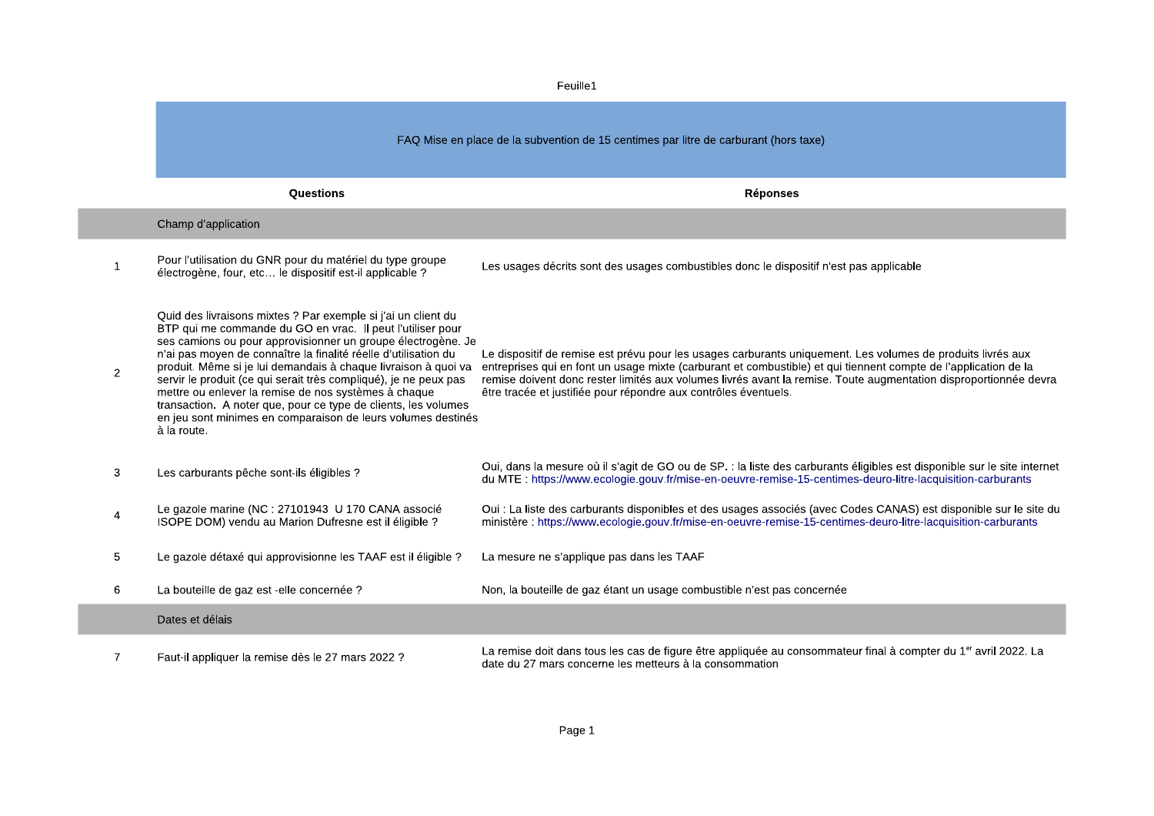|                | Feuille1                                                                                                                                                                                                                                                                                                                                                                                                                                                                                                                                                                                                      |                                                                                                                                                                                                                                                                                                                                                                                                                       |  |
|----------------|---------------------------------------------------------------------------------------------------------------------------------------------------------------------------------------------------------------------------------------------------------------------------------------------------------------------------------------------------------------------------------------------------------------------------------------------------------------------------------------------------------------------------------------------------------------------------------------------------------------|-----------------------------------------------------------------------------------------------------------------------------------------------------------------------------------------------------------------------------------------------------------------------------------------------------------------------------------------------------------------------------------------------------------------------|--|
|                | FAQ Mise en place de la subvention de 15 centimes par litre de carburant (hors taxe)                                                                                                                                                                                                                                                                                                                                                                                                                                                                                                                          |                                                                                                                                                                                                                                                                                                                                                                                                                       |  |
|                | Questions                                                                                                                                                                                                                                                                                                                                                                                                                                                                                                                                                                                                     | <b>Réponses</b>                                                                                                                                                                                                                                                                                                                                                                                                       |  |
|                | Champ d'application                                                                                                                                                                                                                                                                                                                                                                                                                                                                                                                                                                                           |                                                                                                                                                                                                                                                                                                                                                                                                                       |  |
| $\mathbf{1}$   | Pour l'utilisation du GNR pour du matériel du type groupe<br>électrogène, four, etc le dispositif est-il applicable ?                                                                                                                                                                                                                                                                                                                                                                                                                                                                                         | Les usages décrits sont des usages combustibles donc le dispositif n'est pas applicable                                                                                                                                                                                                                                                                                                                               |  |
| 2              | Quid des livraisons mixtes ? Par exemple si j'ai un client du<br>BTP qui me commande du GO en vrac. Il peut l'utiliser pour<br>ses camions ou pour approvisionner un groupe électrogène. Je<br>n'ai pas moyen de connaître la finalité réelle d'utilisation du<br>produit. Même si je lui demandais à chaque livraison à quoi va<br>servir le produit (ce qui serait très compliqué), je ne peux pas<br>mettre ou enlever la remise de nos systèmes à chaque<br>transaction. A noter que, pour ce type de clients, les volumes<br>en jeu sont minimes en comparaison de leurs volumes destinés<br>à la route. | Le dispositif de remise est prévu pour les usages carburants uniquement. Les volumes de produits livrés aux<br>entreprises qui en font un usage mixte (carburant et combustible) et qui tiennent compte de l'application de la<br>remise doivent donc rester limités aux volumes livrés avant la remise. Toute augmentation disproportionnée devra<br>être tracée et justifiée pour répondre aux contrôles éventuels. |  |
| 3              | Les carburants pêche sont-ils éligibles ?                                                                                                                                                                                                                                                                                                                                                                                                                                                                                                                                                                     | Oui, dans la mesure où il s'agit de GO ou de SP. : la liste des carburants éligibles est disponible sur le site internet<br>du MTE : https://www.ecologie.gouv.fr/mise-en-oeuvre-remise-15-centimes-deuro-litre-lacquisition-carburants                                                                                                                                                                               |  |
| 4              | Le gazole marine (NC : 27101943 U 170 CANA associé<br>ISOPE DOM) vendu au Marion Dufresne est il éligible ?                                                                                                                                                                                                                                                                                                                                                                                                                                                                                                   | Oui : La liste des carburants disponibles et des usages associés (avec Codes CANAS) est disponible sur le site du<br>ministère : https://www.ecologie.gouv.fr/mise-en-oeuvre-remise-15-centimes-deuro-litre-lacquisition-carburants                                                                                                                                                                                   |  |
| 5              | Le gazole détaxé qui approvisionne les TAAF est il éligible ?                                                                                                                                                                                                                                                                                                                                                                                                                                                                                                                                                 | La mesure ne s'applique pas dans les TAAF                                                                                                                                                                                                                                                                                                                                                                             |  |
| 6              | La bouteille de gaz est -elle concernée ?                                                                                                                                                                                                                                                                                                                                                                                                                                                                                                                                                                     | Non, la bouteille de gaz étant un usage combustible n'est pas concernée                                                                                                                                                                                                                                                                                                                                               |  |
|                | Dates et délais                                                                                                                                                                                                                                                                                                                                                                                                                                                                                                                                                                                               |                                                                                                                                                                                                                                                                                                                                                                                                                       |  |
| $\overline{7}$ | Faut-il appliquer la remise dès le 27 mars 2022 ?                                                                                                                                                                                                                                                                                                                                                                                                                                                                                                                                                             | La remise doit dans tous les cas de figure être appliquée au consommateur final à compter du 1 <sup>er</sup> avril 2022. La<br>date du 27 mars concerne les metteurs à la consommation                                                                                                                                                                                                                                |  |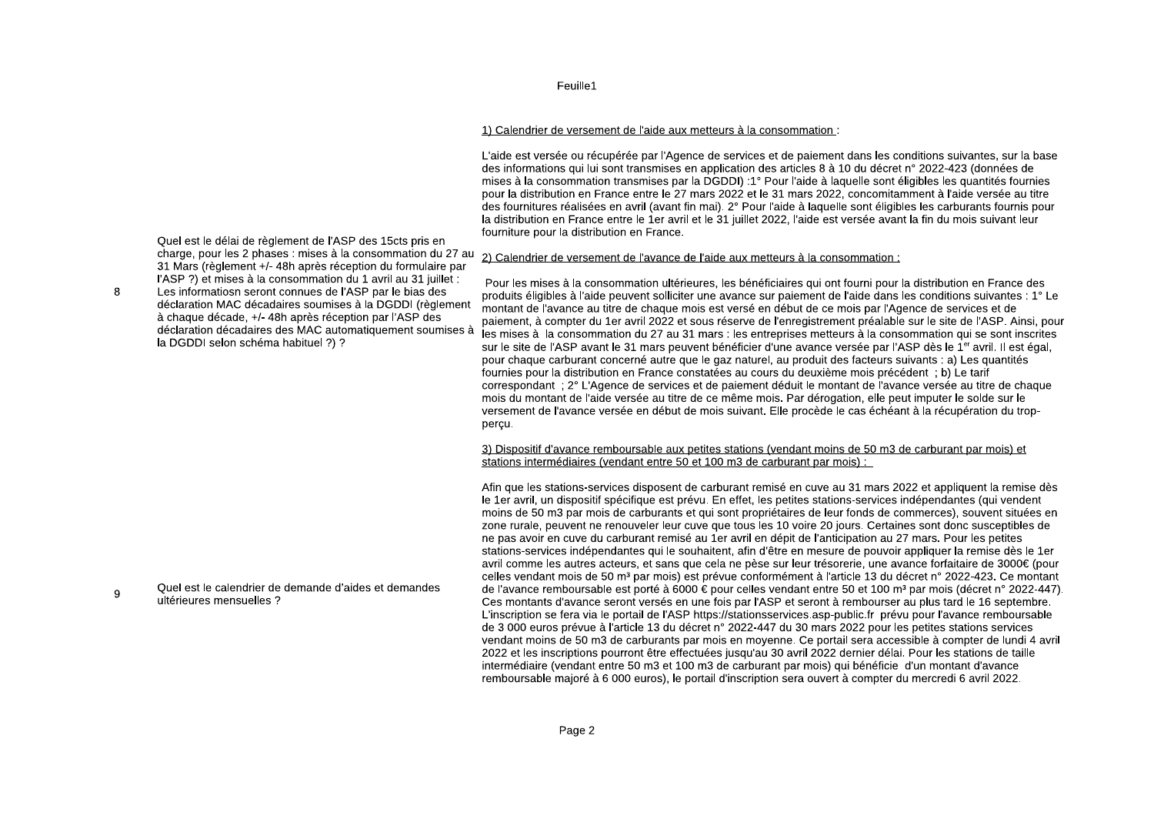## 1) Calendrier de versement de l'aide aux metteurs à la consommation :

L'aide est versée ou récupérée par l'Agence de services et de paiement dans les conditions suivantes, sur la base des informations qui lui sont transmises en application des articles 8 à 10 du décret n° 2022-423 (données de mises à la consommation transmises par la DGDDI) :1° Pour l'aide à laquelle sont éligibles les quantités fournies pour la distribution en France entre le 27 mars 2022 et le 31 mars 2022, concomitamment à l'aide versée au titre des fournitures réalisées en avril (avant fin mai). 2° Pour l'aide à laquelle sont éligibles les carburants fournis pour la distribution en France entre le 1er avril et le 31 juillet 2022, l'aide est versée avant la fin du mois suivant leur fourniture pour la distribution en France.

Pour les mises à la consommation ultérieures, les bénéficiaires qui ont fourni pour la distribution en France des produits éligibles à l'aide peuvent solliciter une avance sur paiement de l'aide dans les conditions suivantes : 1° Le montant de l'avance au titre de chaque mois est versé en début de ce mois par l'Agence de services et de paiement. à compter du 1er avril 2022 et sous réserve de l'enregistrement préalable sur le site de l'ASP. Ainsi, pour les mises à la consommation du 27 au 31 mars : les entreprises metteurs à la consommation qui se sont inscrites sur le site de l'ASP avant le 31 mars peuvent bénéficier d'une avance versée par l'ASP dès le 1<sup>er</sup> avril. Il est égal, pour chaque carburant concerné autre que le gaz naturel, au produit des facteurs suivants : a) Les quantités fournies pour la distribution en France constatées au cours du deuxième mois précédent ; b) Le tarif correspondant : 2° L'Agence de services et de paiement déduit le montant de l'avance versée au titre de chaque mois du montant de l'aide versée au titre de ce même mois. Par dérogation, elle peut imputer le solde sur le versement de l'avance versée en début de mois suivant. Elle procède le cas échéant à la récupération du troppercu.

#### 3) Dispositif d'avance remboursable aux petites stations (vendant moins de 50 m3 de carburant par mois) et stations intermédiaires (vendant entre 50 et 100 m3 de carburant par mois) :

Afin que les stations-services disposent de carburant remisé en cuve au 31 mars 2022 et appliquent la remise dès le 1er avril, un dispositif spécifique est prévu. En effet, les petites stations-services indépendantes (qui vendent moins de 50 m3 par mois de carburants et qui sont propriétaires de leur fonds de commerces), souvent situées en zone rurale, peuvent ne renouveler leur cuve que tous les 10 voire 20 jours. Certaines sont donc susceptibles de ne pas avoir en cuve du carburant remisé au 1er avril en dépit de l'anticipation au 27 mars. Pour les petites stations-services indépendantes qui le souhaitent, afin d'être en mesure de pouvoir appliquer la remise dès le 1er avril comme les autres acteurs, et sans que cela ne pèse sur leur trésorerie, une avance forfaitaire de 3000€ (pour celles vendant mois de 50 m<sup>3</sup> par mois) est prévue conformément à l'article 13 du décret n° 2022-423. Ce montant de l'avance remboursable est porté à 6000 € pour celles vendant entre 50 et 100 m<sup>3</sup> par mois (décret n° 2022-447). Ces montants d'avance seront versés en une fois par l'ASP et seront à rembourser au plus tard le 16 septembre. L'inscription se fera via le portail de l'ASP https://stationsservices.asp-public.fr prévu pour l'avance remboursable de 3 000 euros prévue à l'article 13 du décret n° 2022-447 du 30 mars 2022 pour les petites stations services vendant moins de 50 m3 de carburants par mois en movenne. Ce portail sera accessible à compter de lundi 4 avril 2022 et les inscriptions pourront être effectuées jusqu'au 30 avril 2022 dernier délai. Pour les stations de taille intermédiaire (vendant entre 50 m3 et 100 m3 de carburant par mois) qui bénéficie d'un montant d'avance remboursable maioré à 6 000 euros), le portail d'inscription sera ouvert à compter du mercredi 6 avril 2022.

Quel est le délai de règlement de l'ASP des 15cts pris en charge, pour les 2 phases : mises à la consommation du 27 au 2) Calendrier de versement de l'avance de l'aide aux metteurs à la consommation : 31 Mars (règlement +/- 48h après réception du formulaire par l'ASP ?) et mises à la consommation du 1 avril au 31 juillet :

Les informatiosn seront connues de l'ASP par le bias des déclaration MAC décadaires soumises à la DGDDI (règlement à chaque décade, +/- 48h après réception par l'ASP des déclaration décadaires des MAC automatiquement soumises à la DGDDI selon schéma habituel ?) ?

 $\mathbf{g}$ 

Quel est le calendrier de demande d'aides et demandes 9 ultérieures mensuelles ?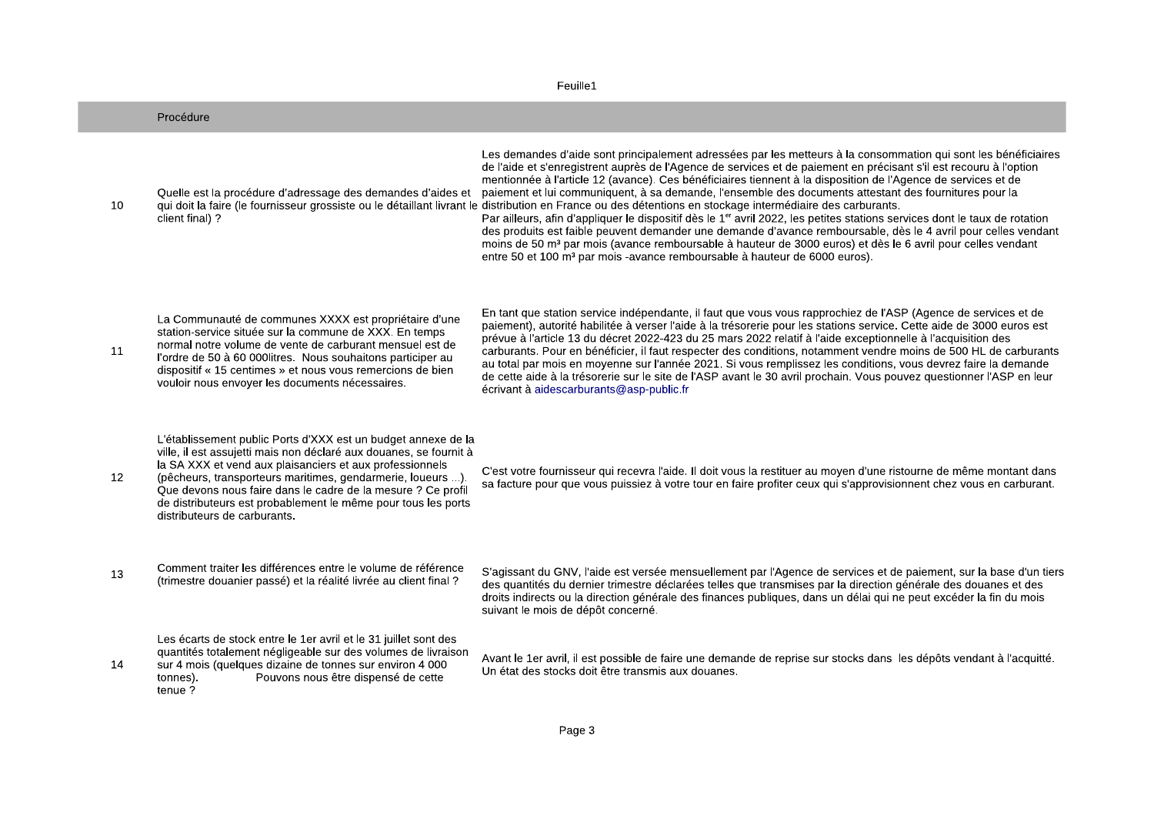| Feuille1 |                                                                                                                                                                                                                                                                                                                                                                                                                                 |                                                                                                                                                                                                                                                                                                                                                                                                                                                                                                                                                                                                                                                                                                                                                                                                                                                                                                                                                                                                                                                                                                                 |  |  |
|----------|---------------------------------------------------------------------------------------------------------------------------------------------------------------------------------------------------------------------------------------------------------------------------------------------------------------------------------------------------------------------------------------------------------------------------------|-----------------------------------------------------------------------------------------------------------------------------------------------------------------------------------------------------------------------------------------------------------------------------------------------------------------------------------------------------------------------------------------------------------------------------------------------------------------------------------------------------------------------------------------------------------------------------------------------------------------------------------------------------------------------------------------------------------------------------------------------------------------------------------------------------------------------------------------------------------------------------------------------------------------------------------------------------------------------------------------------------------------------------------------------------------------------------------------------------------------|--|--|
|          | Procédure                                                                                                                                                                                                                                                                                                                                                                                                                       |                                                                                                                                                                                                                                                                                                                                                                                                                                                                                                                                                                                                                                                                                                                                                                                                                                                                                                                                                                                                                                                                                                                 |  |  |
| 10       | Quelle est la procédure d'adressage des demandes d'aides et<br>client final) ?                                                                                                                                                                                                                                                                                                                                                  | Les demandes d'aide sont principalement adressées par les metteurs à la consommation qui sont les bénéficiaires<br>de l'aide et s'enregistrent auprès de l'Agence de services et de paiement en précisant s'il est recouru à l'option<br>mentionnée à l'article 12 (avance). Ces bénéficiaires tiennent à la disposition de l'Agence de services et de<br>paiement et lui communiquent, à sa demande, l'ensemble des documents attestant des fournitures pour la<br>qui doit la faire (le fournisseur grossiste ou le détaillant livrant le distribution en France ou des détentions en stockage intermédiaire des carburants.<br>Par ailleurs, afin d'appliquer le dispositif dès le 1 <sup>er</sup> avril 2022, les petites stations services dont le taux de rotation<br>des produits est faible peuvent demander une demande d'avance remboursable, dès le 4 avril pour celles vendant<br>moins de 50 m <sup>3</sup> par mois (avance remboursable à hauteur de 3000 euros) et dès le 6 avril pour celles vendant<br>entre 50 et 100 m <sup>3</sup> par mois -avance remboursable à hauteur de 6000 euros). |  |  |
| 11       | La Communauté de communes XXXX est propriétaire d'une<br>station-service située sur la commune de XXX. En temps<br>normal notre volume de vente de carburant mensuel est de<br>l'ordre de 50 à 60 000 litres. Nous souhaitons participer au<br>dispositif « 15 centimes » et nous vous remercions de bien<br>vouloir nous envoyer les documents nécessaires.                                                                    | En tant que station service indépendante, il faut que vous vous rapprochiez de l'ASP (Agence de services et de<br>paiement), autorité habilitée à verser l'aide à la trésorerie pour les stations service. Cette aide de 3000 euros est<br>prévue à l'article 13 du décret 2022-423 du 25 mars 2022 relatif à l'aide exceptionnelle à l'acquisition des<br>carburants. Pour en bénéficier, il faut respecter des conditions, notamment vendre moins de 500 HL de carburants<br>au total par mois en moyenne sur l'année 2021. Si vous remplissez les conditions, vous devrez faire la demande<br>de cette aide à la trésorerie sur le site de l'ASP avant le 30 avril prochain. Vous pouvez questionner l'ASP en leur<br>écrivant à aidescarburants@asp-public.fr                                                                                                                                                                                                                                                                                                                                               |  |  |
| 12       | L'établissement public Ports d'XXX est un budget annexe de la<br>ville, il est assujetti mais non déclaré aux douanes, se fournit à<br>la SA XXX et vend aux plaisanciers et aux professionnels<br>(pêcheurs, transporteurs maritimes, gendarmerie, loueurs ).<br>Que devons nous faire dans le cadre de la mesure ? Ce profil<br>de distributeurs est probablement le même pour tous les ports<br>distributeurs de carburants. | C'est votre fournisseur qui recevra l'aide. Il doit vous la restituer au moyen d'une ristourne de même montant dans<br>sa facture pour que vous puissiez à votre tour en faire profiter ceux qui s'approvisionnent chez vous en carburant.                                                                                                                                                                                                                                                                                                                                                                                                                                                                                                                                                                                                                                                                                                                                                                                                                                                                      |  |  |
| 13       | Comment traiter les différences entre le volume de référence<br>(trimestre douanier passé) et la réalité livrée au client final ?                                                                                                                                                                                                                                                                                               | S'agissant du GNV, l'aide est versée mensuellement par l'Agence de services et de paiement, sur la base d'un tiers<br>des quantités du dernier trimestre déclarées telles que transmises par la direction générale des douanes et des<br>droits indirects ou la direction générale des finances publiques, dans un délai qui ne peut excéder la fin du mois<br>suivant le mois de dépôt concerné.                                                                                                                                                                                                                                                                                                                                                                                                                                                                                                                                                                                                                                                                                                               |  |  |
| 14       | Les écarts de stock entre le 1er avril et le 31 juillet sont des<br>quantités totalement négligeable sur des volumes de livraison<br>sur 4 mois (quelques dizaine de tonnes sur environ 4 000<br>Pouvons nous être dispensé de cette<br>tonnes).<br>tenue?                                                                                                                                                                      | Avant le 1er avril, il est possible de faire une demande de reprise sur stocks dans les dépôts vendant à l'acquitté.<br>Un état des stocks doit être transmis aux douanes.                                                                                                                                                                                                                                                                                                                                                                                                                                                                                                                                                                                                                                                                                                                                                                                                                                                                                                                                      |  |  |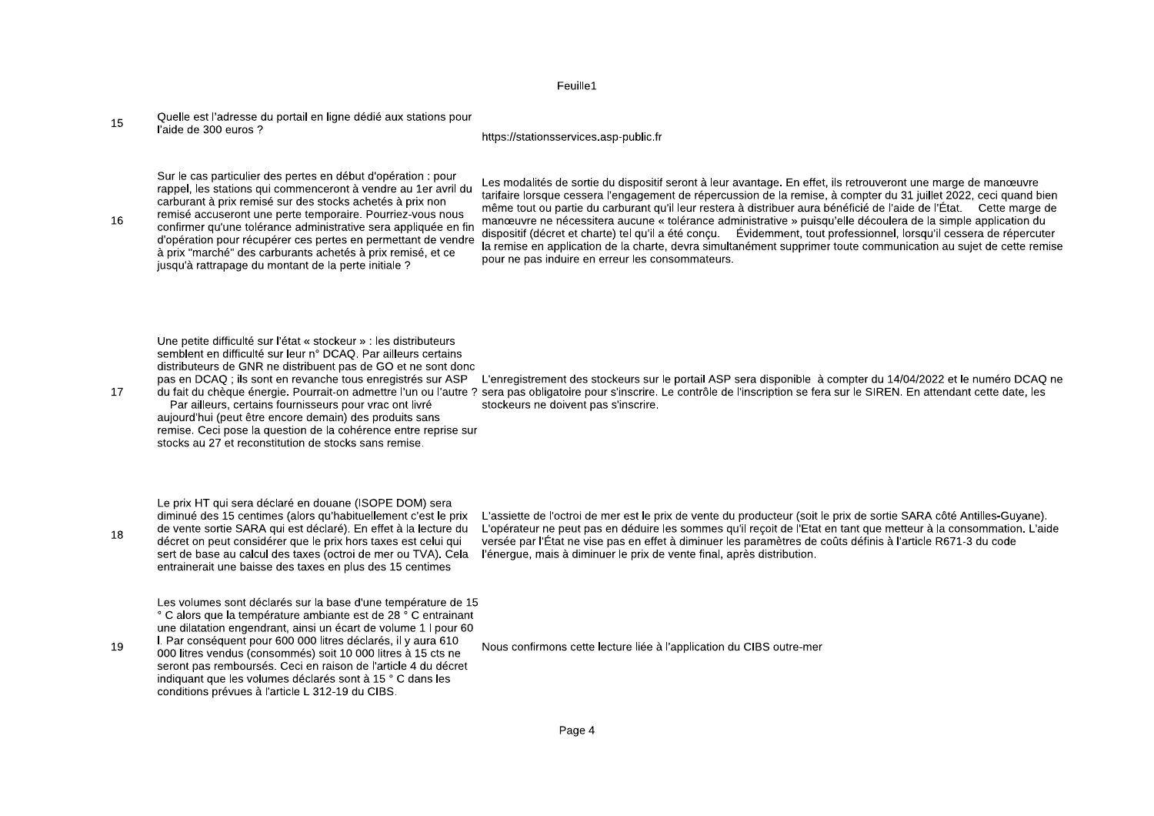Ouelle est l'adresse du portail en ligne dédié aux stations pour 15 l'aide de 300 euros ?

#### https://stationsservices.asp-public.fr

Sur le cas particulier des pertes en début d'opération : pour rappel, les stations qui commenceront à vendre au 1er avril du carburant à prix remisé sur des stocks achetés à prix non remisé accuseront une perte temporaire. Pourriez-vous nous

16 confirmer qu'une tolérance administrative sera appliquée en fin d'opération pour récupérer ces pertes en permettant de vendre à prix "marché" des carburants achetés à prix remisé, et ce iusqu'à rattrapage du montant de la perte initiale ?

Les modalités de sortie du dispositif seront à leur avantage. En effet, ils retrouveront une marge de manœuvre tarifaire lorsque cessera l'engagement de répercussion de la remise, à compter du 31 juillet 2022, ceci quand bien même tout ou partie du carburant qu'il leur restera à distribuer aura bénéficié de l'aide de l'État. Cette marge de manœuvre ne nécessitera aucune « tolérance administrative » puisqu'elle découlera de la simple application du dispositif (décret et charte) tel qu'il a été concu. Évidemment, tout professionnel, lorsqu'il cessera de répercuter la remise en application de la charte, devra simultanément supprimer toute communication au sujet de cette remise pour ne pas induire en erreur les consommateurs.

Une petite difficulté sur l'état « stockeur » : les distributeurs semblent en difficulté sur leur n° DCAO. Par ailleurs certains distributeurs de GNR ne distribuent pas de GO et ne sont donc pas en DCAO : ils sont en revanche tous enregistrés sur ASP

17

18

Par ailleurs, certains fournisseurs pour vrac ont livré aujourd'hui (peut être encore demain) des produits sans remise. Ceci pose la question de la cohérence entre reprise sur stocks au 27 et reconstitution de stocks sans remise.

L'enregistrement des stockeurs sur le portail ASP sera disponible à compter du 14/04/2022 et le numéro DCAO ne du fait du chèque énergie. Pourrait-on admettre l'un ou l'autre ? sera pas obligatoire pour s'inscrire. Le contrôle de l'inscription se fera sur le SIREN. En attendant cette date, les stockeurs ne doivent pas s'inscrire.

Le prix HT qui sera déclaré en douane (ISOPE DOM) sera de vente sortie SARA qui est déclaré). En effet à la lecture du décret on peut considérer que le prix hors taxes est celui qui entrainerait une baisse des taxes en plus des 15 centimes

Les volumes sont déclarés sur la base d'une température de 15 ° C alors que la température ambiante est de 28 ° C entrainant une dilatation engendrant, ainsi un écart de volume 1 I pour 60 I. Par conséquent pour 600 000 litres déclarés, il y aura 610

19 000 litres vendus (consommés) soit 10 000 litres à 15 cts ne seront pas remboursés. Ceci en raison de l'article 4 du décret indiquant que les volumes déclarés sont à 15 ° C dans les conditions prévues à l'article L 312-19 du CIBS.

diminué des 15 centimes (alors qu'habituellement c'est le prix L'assiette de l'octroi de mer est le prix de vente du producteur (soit le prix de sortie SARA côté Antilles-Guyane). L'opérateur ne peut pas en déduire les sommes qu'il reçoit de l'Etat en tant que metteur à la consommation. L'aide versée par l'État ne vise pas en effet à diminuer les paramètres de coûts définis à l'article R671-3 du code sert de base au calcul des taxes (octroi de mer ou TVA). Cela l'énerque, mais à diminuer le prix de vente final, après distribution,

Nous confirmons cette lecture liée à l'application du CIBS outre-mer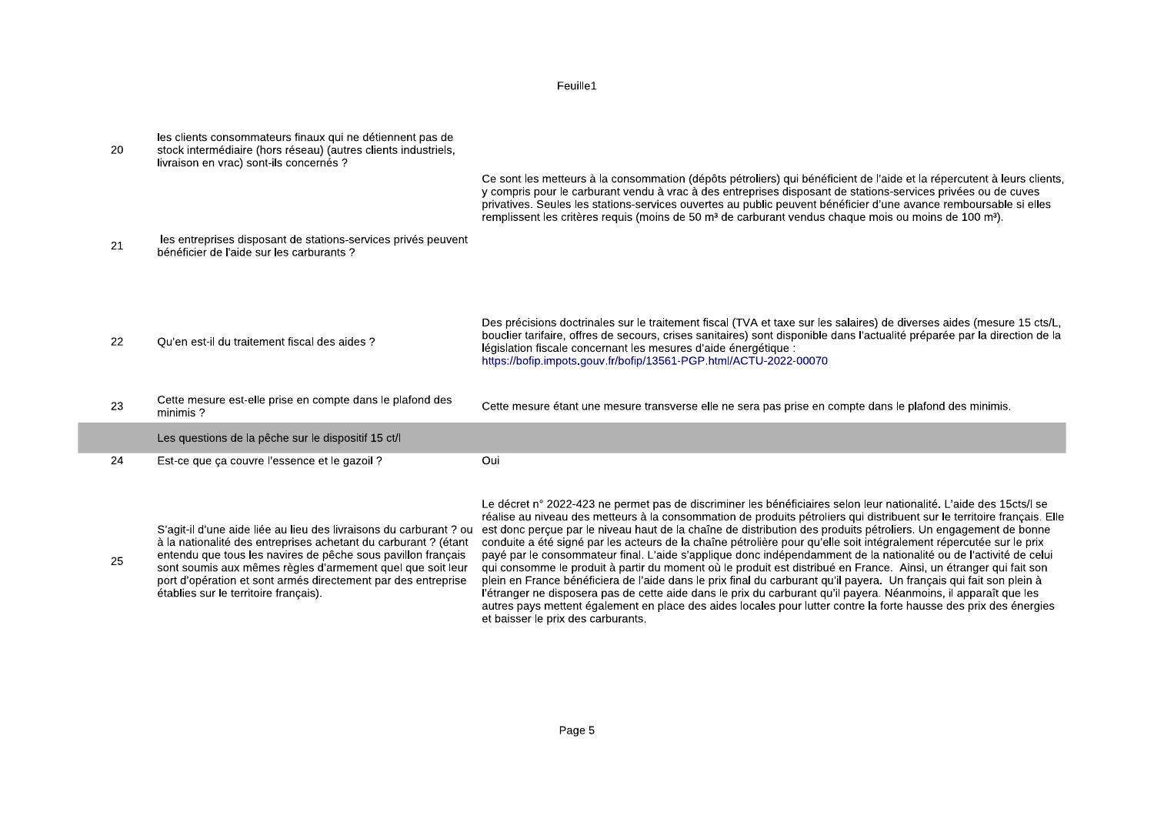| 20 | les clients consommateurs finaux qui ne détiennent pas de<br>stock intermédiaire (hors réseau) (autres clients industriels,<br>livraison en vrac) sont-ils concernés ? | Ce sont les metteurs à la consommation (dépôts pétroliers) qui bénéficient de l'aide et la répercutent à leurs clients,<br>y compris pour le carburant vendu à vrac à des entreprises disposant de stations-services privées ou de cuves                                                                                                                                                     |
|----|------------------------------------------------------------------------------------------------------------------------------------------------------------------------|----------------------------------------------------------------------------------------------------------------------------------------------------------------------------------------------------------------------------------------------------------------------------------------------------------------------------------------------------------------------------------------------|
| 21 | les entreprises disposant de stations-services privés peuvent<br>bénéficier de l'aide sur les carburants ?                                                             | privatives. Seules les stations-services ouvertes au public peuvent bénéficier d'une avance remboursable si elles<br>remplissent les critères requis (moins de 50 m <sup>3</sup> de carburant vendus chaque mois ou moins de 100 m <sup>3</sup> ).                                                                                                                                           |
| 22 | Qu'en est-il du traitement fiscal des aides ?                                                                                                                          | Des précisions doctrinales sur le traitement fiscal (TVA et taxe sur les salaires) de diverses aides (mesure 15 cts/L,<br>bouclier tarifaire, offres de secours, crises sanitaires) sont disponible dans l'actualité préparée par la direction de la<br>législation fiscale concernant les mesures d'aide énergétique :<br>https://bofip.impots.gouv.fr/bofip/13561-PGP.html/ACTU-2022-00070 |
| 23 | Cette mesure est-elle prise en compte dans le plafond des<br>minimis?                                                                                                  | Cette mesure étant une mesure transverse elle ne sera pas prise en compte dans le plafond des minimis.                                                                                                                                                                                                                                                                                       |
|    | Les questions de la pêche sur le dispositif 15 ct/l                                                                                                                    |                                                                                                                                                                                                                                                                                                                                                                                              |
| 24 | Est-ce que ça couvre l'essence et le gazoil ?                                                                                                                          | Oui                                                                                                                                                                                                                                                                                                                                                                                          |
|    |                                                                                                                                                                        |                                                                                                                                                                                                                                                                                                                                                                                              |

F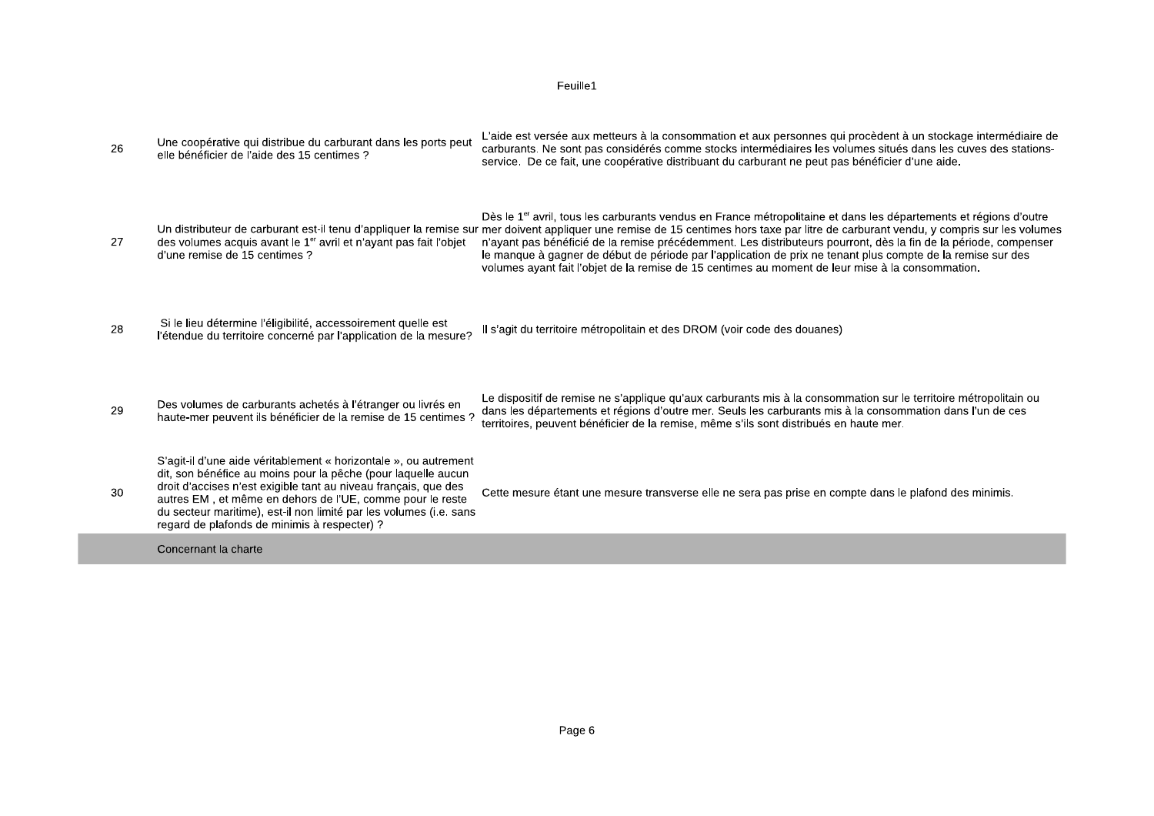| 26 | Une coopérative qui distribue du carburant dans les ports peut<br>elle bénéficier de l'aide des 15 centimes ?                                                                                                                                                                                                                                                                           | L'aide est versée aux metteurs à la consommation et aux personnes qui procèdent à un stockage intermédiaire de<br>carburants. Ne sont pas considérés comme stocks intermédiaires les volumes situés dans les cuves des stations-<br>service. De ce fait, une coopérative distribuant du carburant ne peut pas bénéficier d'une aide.                                                                                                                                                                                                                                                                                                                         |
|----|-----------------------------------------------------------------------------------------------------------------------------------------------------------------------------------------------------------------------------------------------------------------------------------------------------------------------------------------------------------------------------------------|--------------------------------------------------------------------------------------------------------------------------------------------------------------------------------------------------------------------------------------------------------------------------------------------------------------------------------------------------------------------------------------------------------------------------------------------------------------------------------------------------------------------------------------------------------------------------------------------------------------------------------------------------------------|
| 27 | des volumes acquis avant le $1er$ avril et n'ayant pas fait l'objet<br>d'une remise de 15 centimes ?                                                                                                                                                                                                                                                                                    | Dès le 1 <sup>er</sup> avril, tous les carburants vendus en France métropolitaine et dans les départements et régions d'outre<br>Un distributeur de carburant est-il tenu d'appliquer la remise sur mer doivent appliquer une remise de 15 centimes hors taxe par litre de carburant vendu, y compris sur les volumes<br>n'ayant pas bénéficié de la remise précédemment. Les distributeurs pourront, dès la fin de la période, compenser<br>le manque à gagner de début de période par l'application de prix ne tenant plus compte de la remise sur des<br>volumes ayant fait l'objet de la remise de 15 centimes au moment de leur mise à la consommation. |
| 28 | Si le lieu détermine l'éligibilité, accessoirement quelle est<br>l'étendue du territoire concerné par l'application de la mesure?                                                                                                                                                                                                                                                       | Il s'agit du territoire métropolitain et des DROM (voir code des douanes)                                                                                                                                                                                                                                                                                                                                                                                                                                                                                                                                                                                    |
| 29 | Des volumes de carburants achetés à l'étranger ou livrés en<br>haute-mer peuvent ils bénéficier de la remise de 15 centimes ?                                                                                                                                                                                                                                                           | Le dispositif de remise ne s'applique qu'aux carburants mis à la consommation sur le territoire métropolitain ou<br>dans les départements et régions d'outre mer. Seuls les carburants mis à la consommation dans l'un de ces<br>territoires, peuvent bénéficier de la remise, même s'ils sont distribués en haute mer.                                                                                                                                                                                                                                                                                                                                      |
| 30 | S'agit-il d'une aide véritablement « horizontale », ou autrement<br>dit, son bénéfice au moins pour la pêche (pour laquelle aucun<br>droit d'accises n'est exigible tant au niveau français, que des<br>autres EM, et même en dehors de l'UE, comme pour le reste<br>du secteur maritime), est-il non limité par les volumes (i.e. sans<br>regard de plafonds de minimis à respecter) ? | Cette mesure étant une mesure transverse elle ne sera pas prise en compte dans le plafond des minimis.                                                                                                                                                                                                                                                                                                                                                                                                                                                                                                                                                       |
|    | Concernant la charte                                                                                                                                                                                                                                                                                                                                                                    |                                                                                                                                                                                                                                                                                                                                                                                                                                                                                                                                                                                                                                                              |